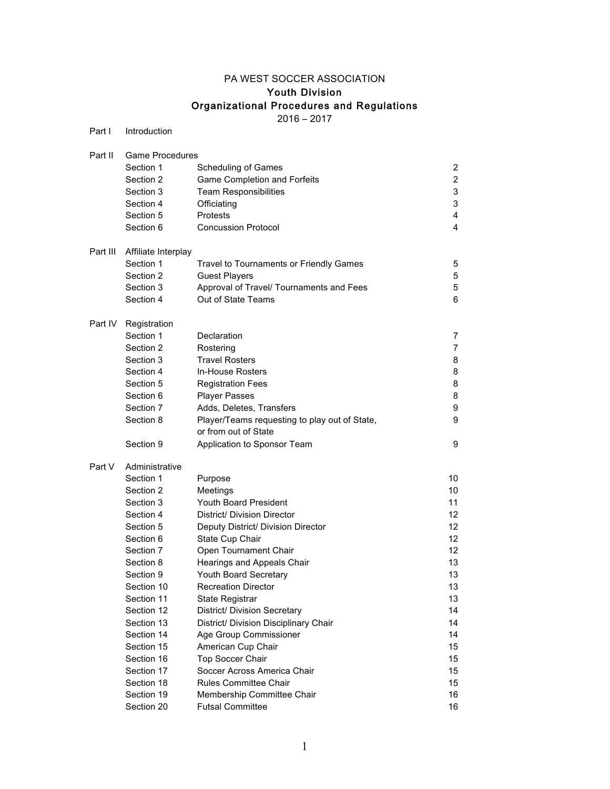# PA WEST SOCCER ASSOCIATION

# Youth Division

# Organizational Procedures and Regulations

2016 – 2017

| Part I   | Introduction           |                                               |                |  |  |
|----------|------------------------|-----------------------------------------------|----------------|--|--|
| Part II  | <b>Game Procedures</b> |                                               |                |  |  |
|          | Section 1              | <b>Scheduling of Games</b>                    | 2              |  |  |
|          | Section 2              | <b>Game Completion and Forfeits</b>           | $\overline{c}$ |  |  |
|          | Section 3              | <b>Team Responsibilities</b>                  | 3              |  |  |
|          | Section 4              | Officiating                                   | 3              |  |  |
|          | Section 5              | Protests                                      | 4              |  |  |
|          | Section 6              | <b>Concussion Protocol</b>                    | 4              |  |  |
| Part III | Affiliate Interplay    |                                               |                |  |  |
|          | Section 1              | Travel to Tournaments or Friendly Games       | 5              |  |  |
|          | Section 2              | <b>Guest Players</b>                          | 5              |  |  |
|          | Section 3              | Approval of Travel/ Tournaments and Fees      | 5              |  |  |
|          | Section 4              | Out of State Teams                            | 6              |  |  |
| Part IV  | Registration           |                                               |                |  |  |
|          | Section 1              | Declaration                                   | 7              |  |  |
|          | Section 2              | Rostering                                     | $\overline{7}$ |  |  |
|          | Section 3              | <b>Travel Rosters</b>                         | 8              |  |  |
|          | Section 4              | In-House Rosters                              | 8              |  |  |
|          | Section 5              | <b>Registration Fees</b>                      | 8              |  |  |
|          | Section 6              | <b>Player Passes</b>                          | 8              |  |  |
|          | Section 7              | Adds, Deletes, Transfers                      | 9              |  |  |
|          | Section 8              | Player/Teams requesting to play out of State, | 9              |  |  |
|          |                        | or from out of State                          |                |  |  |
|          | Section 9              | Application to Sponsor Team                   | 9              |  |  |
| Part V   | Administrative         |                                               |                |  |  |
|          | Section 1              | Purpose                                       | 10             |  |  |
|          | Section 2              | Meetings                                      | 10             |  |  |
|          | Section 3              | <b>Youth Board President</b>                  | 11             |  |  |
|          | Section 4              | District/ Division Director                   | 12             |  |  |
|          | Section 5              | Deputy District/ Division Director            | 12             |  |  |
|          | Section 6              | State Cup Chair                               | 12             |  |  |
|          | Section 7              | Open Tournament Chair                         | 12             |  |  |
|          | Section 8              | Hearings and Appeals Chair                    | 13             |  |  |
|          | Section 9              | Youth Board Secretary                         | 13             |  |  |
|          | Section 10             | <b>Recreation Director</b>                    | 13             |  |  |
|          | Section 11             | State Registrar                               | 13             |  |  |
|          | Section 12             | District/ Division Secretary                  | 14             |  |  |
|          | Section 13             | District/ Division Disciplinary Chair         | 14             |  |  |
|          | Section 14             | Age Group Commissioner                        | 14             |  |  |
|          | Section 15             | American Cup Chair                            | 15             |  |  |
|          | Section 16             | <b>Top Soccer Chair</b>                       | 15             |  |  |
|          | Section 17             | Soccer Across America Chair                   | 15             |  |  |
|          | Section 18             | <b>Rules Committee Chair</b>                  | 15             |  |  |
|          | Section 19             | Membership Committee Chair                    | 16             |  |  |
|          | Section 20             | <b>Futsal Committee</b>                       | 16             |  |  |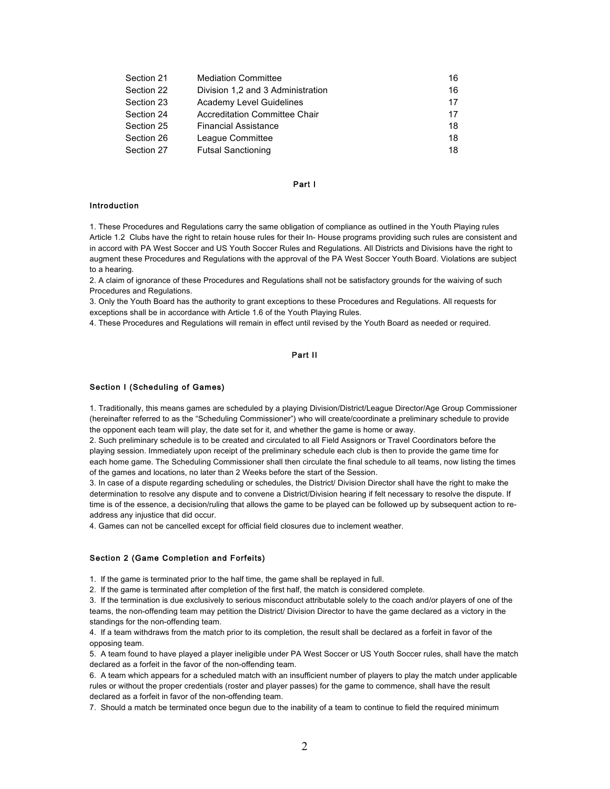| Section 21 | <b>Mediation Committee</b>        | 16 |
|------------|-----------------------------------|----|
| Section 22 | Division 1.2 and 3 Administration | 16 |
| Section 23 | <b>Academy Level Guidelines</b>   | 17 |
| Section 24 | Accreditation Committee Chair     | 17 |
| Section 25 | <b>Financial Assistance</b>       | 18 |
| Section 26 | League Committee                  | 18 |
| Section 27 | <b>Futsal Sanctioning</b>         | 18 |

# Part I

# Introduction

1. These Procedures and Regulations carry the same obligation of compliance as outlined in the Youth Playing rules Article 1.2 Clubs have the right to retain house rules for their In- House programs providing such rules are consistent and in accord with PA West Soccer and US Youth Soccer Rules and Regulations. All Districts and Divisions have the right to augment these Procedures and Regulations with the approval of the PA West Soccer Youth Board. Violations are subject to a hearing.

2. A claim of ignorance of these Procedures and Regulations shall not be satisfactory grounds for the waiving of such Procedures and Regulations.

3. Only the Youth Board has the authority to grant exceptions to these Procedures and Regulations. All requests for exceptions shall be in accordance with Article 1.6 of the Youth Playing Rules.

4. These Procedures and Regulations will remain in effect until revised by the Youth Board as needed or required.

# Part II

#### Section I (Scheduling of Games)

1. Traditionally, this means games are scheduled by a playing Division/District/League Director/Age Group Commissioner (hereinafter referred to as the "Scheduling Commissioner") who will create/coordinate a preliminary schedule to provide the opponent each team will play, the date set for it, and whether the game is home or away.

2. Such preliminary schedule is to be created and circulated to all Field Assignors or Travel Coordinators before the playing session. Immediately upon receipt of the preliminary schedule each club is then to provide the game time for each home game. The Scheduling Commissioner shall then circulate the final schedule to all teams, now listing the times of the games and locations, no later than 2 Weeks before the start of the Session.

3. In case of a dispute regarding scheduling or schedules, the District/ Division Director shall have the right to make the determination to resolve any dispute and to convene a District/Division hearing if felt necessary to resolve the dispute. If time is of the essence, a decision/ruling that allows the game to be played can be followed up by subsequent action to readdress any injustice that did occur.

4. Games can not be cancelled except for official field closures due to inclement weather.

# Section 2 (Game Completion and Forfeits)

1. If the game is terminated prior to the half time, the game shall be replayed in full.

2. If the game is terminated after completion of the first half, the match is considered complete.

3. If the termination is due exclusively to serious misconduct attributable solely to the coach and/or players of one of the teams, the non-offending team may petition the District/ Division Director to have the game declared as a victory in the standings for the non-offending team.

4. If a team withdraws from the match prior to its completion, the result shall be declared as a forfeit in favor of the opposing team.

5. A team found to have played a player ineligible under PA West Soccer or US Youth Soccer rules, shall have the match declared as a forfeit in the favor of the non-offending team.

6. A team which appears for a scheduled match with an insufficient number of players to play the match under applicable rules or without the proper credentials (roster and player passes) for the game to commence, shall have the result declared as a forfeit in favor of the non-offending team.

7. Should a match be terminated once begun due to the inability of a team to continue to field the required minimum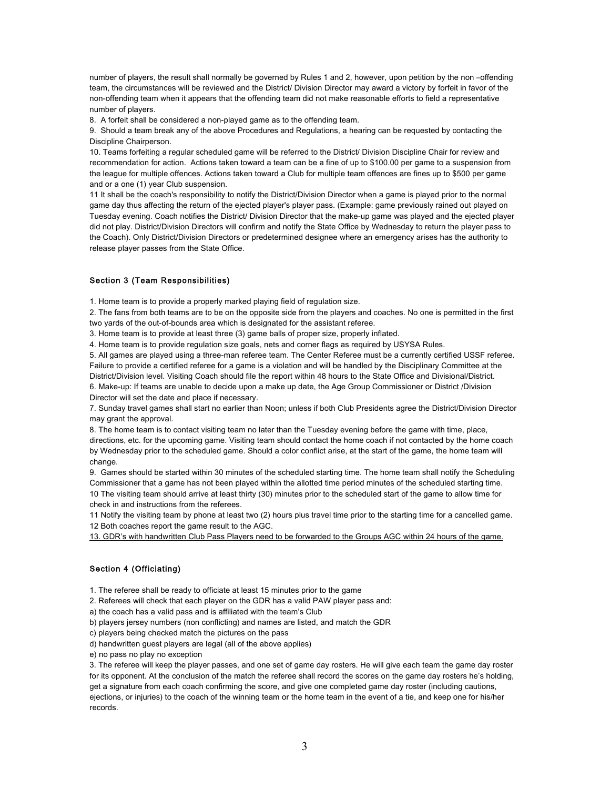number of players, the result shall normally be governed by Rules 1 and 2, however, upon petition by the non-offending team, the circumstances will be reviewed and the District/ Division Director may award a victory by forfeit in favor of the non-offending team when it appears that the offending team did not make reasonable efforts to field a representative number of players.

8. A forfeit shall be considered a non-played game as to the offending team.

9. Should a team break any of the above Procedures and Regulations, a hearing can be requested by contacting the Discipline Chairperson.

10. Teams forfeiting a regular scheduled game will be referred to the District/ Division Discipline Chair for review and recommendation for action. Actions taken toward a team can be a fine of up to \$100.00 per game to a suspension from the league for multiple offences. Actions taken toward a Club for multiple team offences are fines up to \$500 per game and or a one (1) year Club suspension.

11 It shall be the coach's responsibility to notify the District/Division Director when a game is played prior to the normal game day thus affecting the return of the ejected player's player pass. (Example: game previously rained out played on Tuesday evening. Coach notifies the District/ Division Director that the make-up game was played and the ejected player did not play. District/Division Directors will confirm and notify the State Office by Wednesday to return the player pass to the Coach). Only District/Division Directors or predetermined designee where an emergency arises has the authority to release player passes from the State Office.

### Section 3 (Team Responsibilities)

1. Home team is to provide a properly marked playing field of regulation size.

2. The fans from both teams are to be on the opposite side from the players and coaches. No one is permitted in the first two yards of the out-of-bounds area which is designated for the assistant referee.

3. Home team is to provide at least three (3) game balls of proper size, properly inflated.

4. Home team is to provide regulation size goals, nets and corner flags as required by USYSA Rules.

5. All games are played using a three-man referee team. The Center Referee must be a currently certified USSF referee. Failure to provide a certified referee for a game is a violation and will be handled by the Disciplinary Committee at the District/Division level. Visiting Coach should file the report within 48 hours to the State Office and Divisional/District. 6. Make-up: If teams are unable to decide upon a make up date, the Age Group Commissioner or District /Division Director will set the date and place if necessary.

7. Sunday travel games shall start no earlier than Noon; unless if both Club Presidents agree the District/Division Director may grant the approval.

8. The home team is to contact visiting team no later than the Tuesday evening before the game with time, place, directions, etc. for the upcoming game. Visiting team should contact the home coach if not contacted by the home coach by Wednesday prior to the scheduled game. Should a color conflict arise, at the start of the game, the home team will change.

9. Games should be started within 30 minutes of the scheduled starting time. The home team shall notify the Scheduling Commissioner that a game has not been played within the allotted time period minutes of the scheduled starting time. 10 The visiting team should arrive at least thirty (30) minutes prior to the scheduled start of the game to allow time for check in and instructions from the referees.

11 Notify the visiting team by phone at least two (2) hours plus travel time prior to the starting time for a cancelled game. 12 Both coaches report the game result to the AGC.

13. GDR's with handwritten Club Pass Players need to be forwarded to the Groups AGC within 24 hours of the game.

# Section 4 (Officiating)

1. The referee shall be ready to officiate at least 15 minutes prior to the game

2. Referees will check that each player on the GDR has a valid PAW player pass and:

a) the coach has a valid pass and is affiliated with the team's Club

b) players jersey numbers (non conflicting) and names are listed, and match the GDR

c) players being checked match the pictures on the pass

d) handwritten guest players are legal (all of the above applies)

e) no pass no play no exception

3. The referee will keep the player passes, and one set of game day rosters. He will give each team the game day roster for its opponent. At the conclusion of the match the referee shall record the scores on the game day rosters he's holding, get a signature from each coach confirming the score, and give one completed game day roster (including cautions, ejections, or injuries) to the coach of the winning team or the home team in the event of a tie, and keep one for his/her records.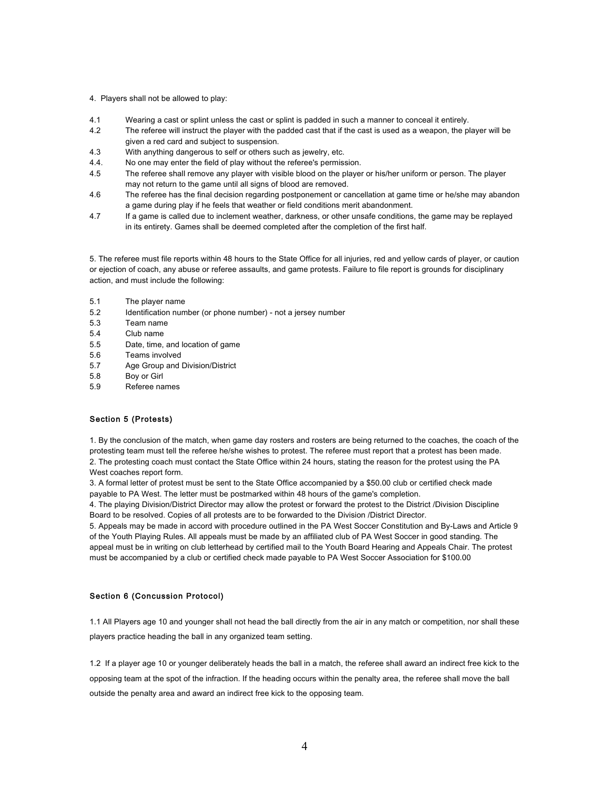- 4. Players shall not be allowed to play:
- 4.1 Wearing a cast or splint unless the cast or splint is padded in such a manner to conceal it entirely.
- 4.2 The referee will instruct the player with the padded cast that if the cast is used as a weapon, the player will be given a red card and subject to suspension.
- 4.3 With anything dangerous to self or others such as jewelry, etc.
- 4.4. No one may enter the field of play without the referee's permission.
- 4.5 The referee shall remove any player with visible blood on the player or his/her uniform or person. The player may not return to the game until all signs of blood are removed.
- 4.6 The referee has the final decision regarding postponement or cancellation at game time or he/she may abandon a game during play if he feels that weather or field conditions merit abandonment.
- 4.7 If a game is called due to inclement weather, darkness, or other unsafe conditions, the game may be replayed in its entirety. Games shall be deemed completed after the completion of the first half.

5. The referee must file reports within 48 hours to the State Office for all injuries, red and yellow cards of player, or caution or ejection of coach, any abuse or referee assaults, and game protests. Failure to file report is grounds for disciplinary action, and must include the following:

- 5.1 The player name
- 5.2 Identification number (or phone number) not a jersey number
- 5.3 Team name
- 5.4 Club name
- 5.5 Date, time, and location of game
- 5.6 Teams involved
- 5.7 Age Group and Division/District
- 5.8 Boy or Girl
- 5.9 Referee names

# Section 5 (Protests)

1. By the conclusion of the match, when game day rosters and rosters are being returned to the coaches, the coach of the protesting team must tell the referee he/she wishes to protest. The referee must report that a protest has been made. 2. The protesting coach must contact the State Office within 24 hours, stating the reason for the protest using the PA West coaches report form.

3. A formal letter of protest must be sent to the State Office accompanied by a \$50.00 club or certified check made payable to PA West. The letter must be postmarked within 48 hours of the game's completion.

4. The playing Division/District Director may allow the protest or forward the protest to the District /Division Discipline Board to be resolved. Copies of all protests are to be forwarded to the Division /District Director.

5. Appeals may be made in accord with procedure outlined in the PA West Soccer Constitution and By-Laws and Article 9 of the Youth Playing Rules. All appeals must be made by an affiliated club of PA West Soccer in good standing. The appeal must be in writing on club letterhead by certified mail to the Youth Board Hearing and Appeals Chair. The protest must be accompanied by a club or certified check made payable to PA West Soccer Association for \$100.00

# Section 6 (Concussion Protocol)

1.1 All Players age 10 and younger shall not head the ball directly from the air in any match or competition, nor shall these players practice heading the ball in any organized team setting.

1.2 If a player age 10 or younger deliberately heads the ball in a match, the referee shall award an indirect free kick to the opposing team at the spot of the infraction. If the heading occurs within the penalty area, the referee shall move the ball outside the penalty area and award an indirect free kick to the opposing team.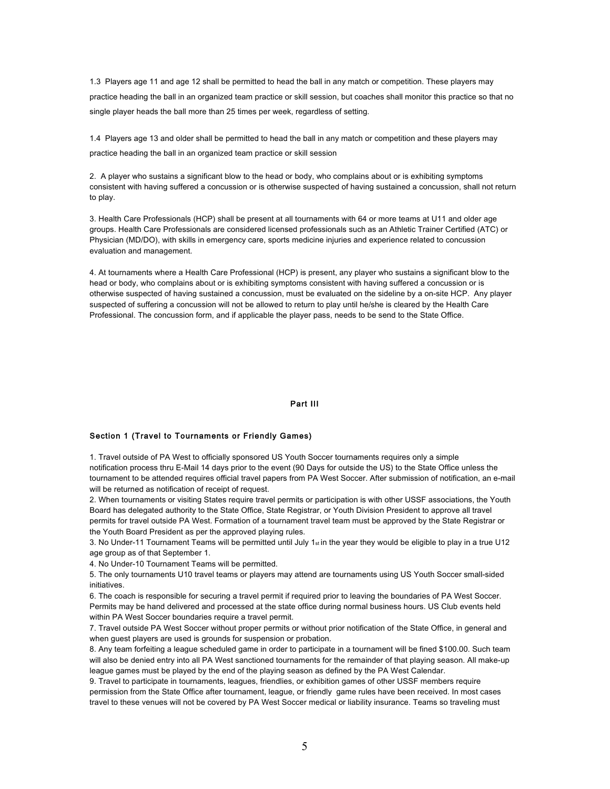1.3 Players age 11 and age 12 shall be permitted to head the ball in any match or competition. These players may practice heading the ball in an organized team practice or skill session, but coaches shall monitor this practice so that no single player heads the ball more than 25 times per week, regardless of setting.

1.4 Players age 13 and older shall be permitted to head the ball in any match or competition and these players may practice heading the ball in an organized team practice or skill session

2. A player who sustains a significant blow to the head or body, who complains about or is exhibiting symptoms consistent with having suffered a concussion or is otherwise suspected of having sustained a concussion, shall not return to play.

3. Health Care Professionals (HCP) shall be present at all tournaments with 64 or more teams at U11 and older age groups. Health Care Professionals are considered licensed professionals such as an Athletic Trainer Certified (ATC) or Physician (MD/DO), with skills in emergency care, sports medicine injuries and experience related to concussion evaluation and management.

4. At tournaments where a Health Care Professional (HCP) is present, any player who sustains a significant blow to the head or body, who complains about or is exhibiting symptoms consistent with having suffered a concussion or is otherwise suspected of having sustained a concussion, must be evaluated on the sideline by a on-site HCP. Any player suspected of suffering a concussion will not be allowed to return to play until he/she is cleared by the Health Care Professional. The concussion form, and if applicable the player pass, needs to be send to the State Office.

# Part III

#### Section 1 (Travel to Tournaments or Friendly Games)

1. Travel outside of PA West to officially sponsored US Youth Soccer tournaments requires only a simple notification process thru E-Mail 14 days prior to the event (90 Days for outside the US) to the State Office unless the tournament to be attended requires official travel papers from PA West Soccer. After submission of notification, an e-mail will be returned as notification of receipt of request.

2. When tournaments or visiting States require travel permits or participation is with other USSF associations, the Youth Board has delegated authority to the State Office, State Registrar, or Youth Division President to approve all travel permits for travel outside PA West. Formation of a tournament travel team must be approved by the State Registrar or the Youth Board President as per the approved playing rules.

3. No Under-11 Tournament Teams will be permitted until July 1st in the year they would be eligible to play in a true U12 age group as of that September 1.

4. No Under-10 Tournament Teams will be permitted.

5. The only tournaments U10 travel teams or players may attend are tournaments using US Youth Soccer small-sided initiatives.

6. The coach is responsible for securing a travel permit if required prior to leaving the boundaries of PA West Soccer. Permits may be hand delivered and processed at the state office during normal business hours. US Club events held within PA West Soccer boundaries require a travel permit.

7. Travel outside PA West Soccer without proper permits or without prior notification of the State Office, in general and when guest players are used is grounds for suspension or probation.

8. Any team forfeiting a league scheduled game in order to participate in a tournament will be fined \$100.00. Such team will also be denied entry into all PA West sanctioned tournaments for the remainder of that playing season. All make-up league games must be played by the end of the playing season as defined by the PA West Calendar.

9. Travel to participate in tournaments, leagues, friendlies, or exhibition games of other USSF members require permission from the State Office after tournament, league, or friendly game rules have been received. In most cases travel to these venues will not be covered by PA West Soccer medical or liability insurance. Teams so traveling must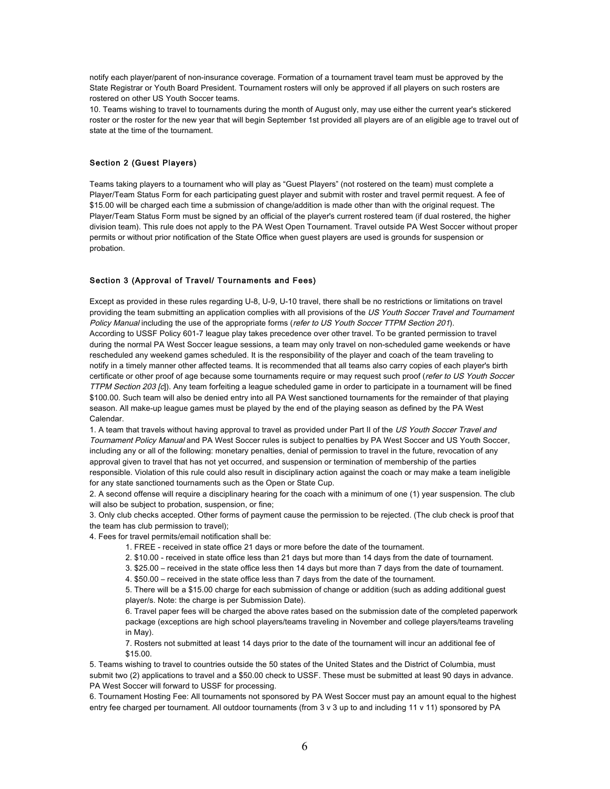notify each player/parent of non-insurance coverage. Formation of a tournament travel team must be approved by the State Registrar or Youth Board President. Tournament rosters will only be approved if all players on such rosters are rostered on other US Youth Soccer teams.

10. Teams wishing to travel to tournaments during the month of August only, may use either the current year's stickered roster or the roster for the new year that will begin September 1st provided all players are of an eligible age to travel out of state at the time of the tournament.

# Section 2 (Guest Players)

Teams taking players to a tournament who will play as "Guest Players" (not rostered on the team) must complete a Player/Team Status Form for each participating guest player and submit with roster and travel permit request. A fee of \$15.00 will be charged each time a submission of change/addition is made other than with the original request. The Player/Team Status Form must be signed by an official of the player's current rostered team (if dual rostered, the higher division team). This rule does not apply to the PA West Open Tournament. Travel outside PA West Soccer without proper permits or without prior notification of the State Office when guest players are used is grounds for suspension or probation.

### Section 3 (Approval of Travel/ Tournaments and Fees)

Except as provided in these rules regarding U-8, U-9, U-10 travel, there shall be no restrictions or limitations on travel providing the team submitting an application complies with all provisions of the US Youth Soccer Travel and Tournament Policy Manual including the use of the appropriate forms (refer to US Youth Soccer TTPM Section 201). According to USSF Policy 601-7 league play takes precedence over other travel. To be granted permission to travel during the normal PA West Soccer league sessions, a team may only travel on non-scheduled game weekends or have rescheduled any weekend games scheduled. It is the responsibility of the player and coach of the team traveling to notify in a timely manner other affected teams. It is recommended that all teams also carry copies of each player's birth certificate or other proof of age because some tournaments require or may request such proof (refer to US Youth Soccer TTPM Section 203 [c]). Any team forfeiting a league scheduled game in order to participate in a tournament will be fined \$100.00. Such team will also be denied entry into all PA West sanctioned tournaments for the remainder of that playing season. All make-up league games must be played by the end of the playing season as defined by the PA West Calendar.

1. A team that travels without having approval to travel as provided under Part II of the US Youth Soccer Travel and Tournament Policy Manual and PA West Soccer rules is subject to penalties by PA West Soccer and US Youth Soccer, including any or all of the following: monetary penalties, denial of permission to travel in the future, revocation of any approval given to travel that has not yet occurred, and suspension or termination of membership of the parties responsible. Violation of this rule could also result in disciplinary action against the coach or may make a team ineligible for any state sanctioned tournaments such as the Open or State Cup.

2. A second offense will require a disciplinary hearing for the coach with a minimum of one (1) year suspension. The club will also be subject to probation, suspension, or fine;

3. Only club checks accepted. Other forms of payment cause the permission to be rejected. (The club check is proof that the team has club permission to travel);

4. Fees for travel permits/email notification shall be:

1. FREE - received in state office 21 days or more before the date of the tournament.

2. \$10.00 - received in state office less than 21 days but more than 14 days from the date of tournament.

3. \$25.00 – received in the state office less then 14 days but more than 7 days from the date of tournament.

4. \$50.00 – received in the state office less than 7 days from the date of the tournament.

5. There will be a \$15.00 charge for each submission of change or addition (such as adding additional guest player/s. Note: the charge is per Submission Date).

6. Travel paper fees will be charged the above rates based on the submission date of the completed paperwork package (exceptions are high school players/teams traveling in November and college players/teams traveling in May).

7. Rosters not submitted at least 14 days prior to the date of the tournament will incur an additional fee of \$15.00.

5. Teams wishing to travel to countries outside the 50 states of the United States and the District of Columbia, must submit two (2) applications to travel and a \$50.00 check to USSF. These must be submitted at least 90 days in advance. PA West Soccer will forward to USSF for processing.

6. Tournament Hosting Fee: All tournaments not sponsored by PA West Soccer must pay an amount equal to the highest entry fee charged per tournament. All outdoor tournaments (from 3 v 3 up to and including 11 v 11) sponsored by PA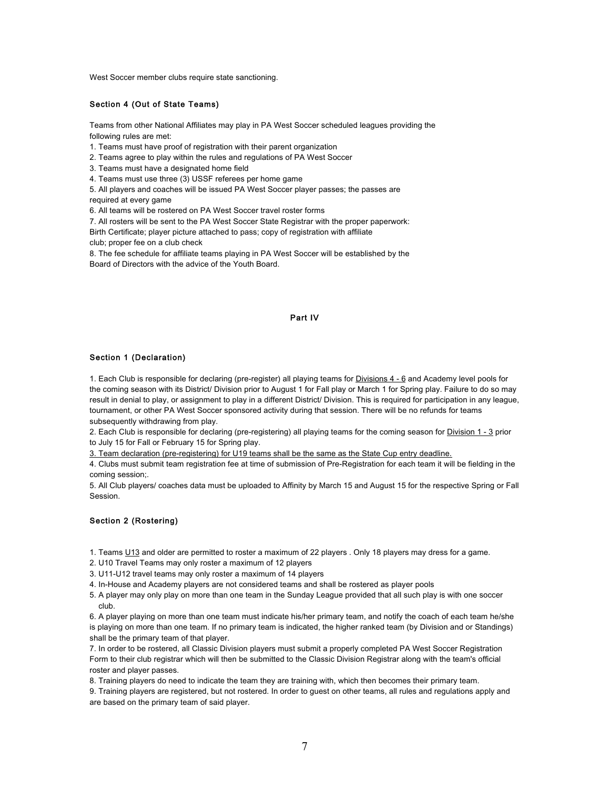West Soccer member clubs require state sanctioning.

### Section 4 (Out of State Teams)

Teams from other National Affiliates may play in PA West Soccer scheduled leagues providing the following rules are met:

1. Teams must have proof of registration with their parent organization

2. Teams agree to play within the rules and regulations of PA West Soccer

3. Teams must have a designated home field

4. Teams must use three (3) USSF referees per home game

5. All players and coaches will be issued PA West Soccer player passes; the passes are

required at every game

6. All teams will be rostered on PA West Soccer travel roster forms

7. All rosters will be sent to the PA West Soccer State Registrar with the proper paperwork:

Birth Certificate; player picture attached to pass; copy of registration with affiliate club; proper fee on a club check

8. The fee schedule for affiliate teams playing in PA West Soccer will be established by the Board of Directors with the advice of the Youth Board.

# Part IV

#### Section 1 (Declaration)

1. Each Club is responsible for declaring (pre-register) all playing teams for *Divisions 4 - 6* and Academy level pools for the coming season with its District/ Division prior to August 1 for Fall play or March 1 for Spring play. Failure to do so may result in denial to play, or assignment to play in a different District/ Division. This is required for participation in any league, tournament, or other PA West Soccer sponsored activity during that session. There will be no refunds for teams subsequently withdrawing from play.

2. Each Club is responsible for declaring (pre-registering) all playing teams for the coming season for Division 1 - 3 prior to July 15 for Fall or February 15 for Spring play.

3. Team declaration (pre-registering) for U19 teams shall be the same as the State Cup entry deadline.

4. Clubs must submit team registration fee at time of submission of Pre-Registration for each team it will be fielding in the coming session;.

5. All Club players/ coaches data must be uploaded to Affinity by March 15 and August 15 for the respective Spring or Fall Session.

# Section 2 (Rostering)

- 1. Teams U13 and older are permitted to roster a maximum of 22 players . Only 18 players may dress for a game.
- 2. U10 Travel Teams may only roster a maximum of 12 players
- 3. U11-U12 travel teams may only roster a maximum of 14 players
- 4. In-House and Academy players are not considered teams and shall be rostered as player pools
- 5. A player may only play on more than one team in the Sunday League provided that all such play is with one soccer club.

6. A player playing on more than one team must indicate his/her primary team, and notify the coach of each team he/she is playing on more than one team. If no primary team is indicated, the higher ranked team (by Division and or Standings) shall be the primary team of that player.

7. In order to be rostered, all Classic Division players must submit a properly completed PA West Soccer Registration Form to their club registrar which will then be submitted to the Classic Division Registrar along with the team's official roster and player passes.

8. Training players do need to indicate the team they are training with, which then becomes their primary team.

9. Training players are registered, but not rostered. In order to guest on other teams, all rules and regulations apply and are based on the primary team of said player.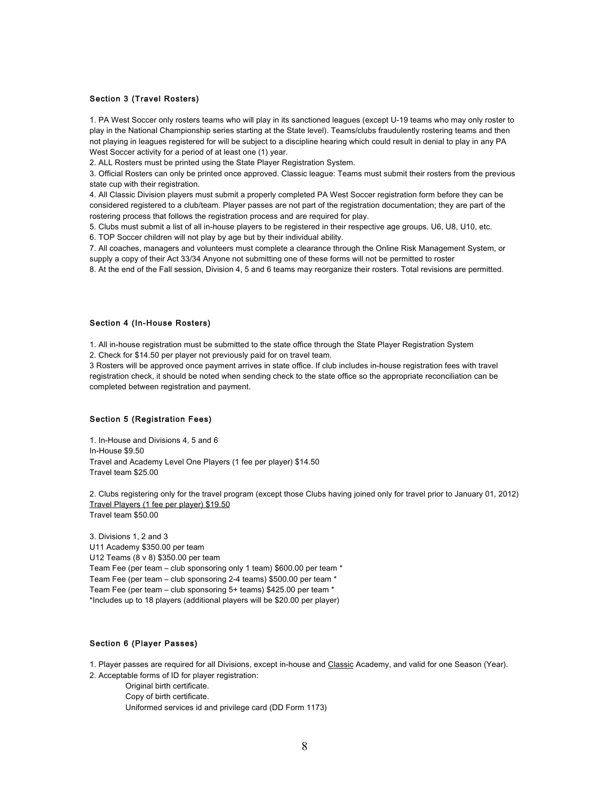# Section 3 (Travel Rosters)

1. PA West Soccer only rosters teams who will play in its sanctioned leagues (except U-19 teams who may only roster to play in the National Championship series starting at the State level). Teams/clubs fraudulently rostering teams and then not playing in leagues registered for will be subject to a discipline hearing which could result in denial to play in any PA West Soccer activity for a period of at least one (1) year.

2. ALL Rosters must be printed using the State Player Registration System.

3. Official Rosters can only be printed once approved. Classic league: Teams must submit their rosters from the previous state cup with their registration.

4. All Classic Division players must submit a properly completed PA West Soccer registration form before they can be considered registered to a club/team. Player passes are not part of the registration documentation; they are part of the rostering process that follows the registration process and are required for play.

5. Clubs must submit a list of all in-house players to be registered in their respective age groups. U6, U8, U10, etc.

6. TOP Soccer children will not play by age but by their individual ability.

7. All coaches, managers and volunteers must complete a clearance through the Online Risk Management System, or supply a copy of their Act 33/34 Anyone not submitting one of these forms will not be permitted to roster 8. At the end of the Fall session, Division 4, 5 and 6 teams may reorganize their rosters. Total revisions are permitted.

#### Section 4 (In-House Rosters)

1. All in-house registration must be submitted to the state office through the State Player Registration System

2. Check for \$14.50 per player not previously paid for on travel team.

3 Rosters will be approved once payment arrives in state office. If club includes in-house registration fees with travel registration check, it should be noted when sending check to the state office so the appropriate reconciliation can be completed between registration and payment.

# Section 5 (Registration Fees)

1. In-House and Divisions 4, 5 and 6 In-House \$9.50 Travel and Academy Level One Players (1 fee per player) \$14.50 Travel team \$25.00

2. Clubs registering only for the travel program (except those Clubs having joined only for travel prior to January 01, 2012) Travel Players (1 fee per player) \$19.50 Travel team \$50.00

3. Divisions 1, 2 and 3 U11 Academy \$350.00 per team U12 Teams (8 v 8) \$350.00 per team Team Fee (per team – club sponsoring only 1 team) \$600.00 per team \* Team Fee (per team – club sponsoring 2-4 teams) \$500.00 per team \* Team Fee (per team – club sponsoring 5+ teams) \$425.00 per team \* \*Includes up to 18 players (additional players will be \$20.00 per player)

# Section 6 (Player Passes)

1. Player passes are required for all Divisions, except in-house and Classic Academy, and valid for one Season (Year). 2. Acceptable forms of ID for player registration:

Original birth certificate. Copy of birth certificate. Uniformed services id and privilege card (DD Form 1173)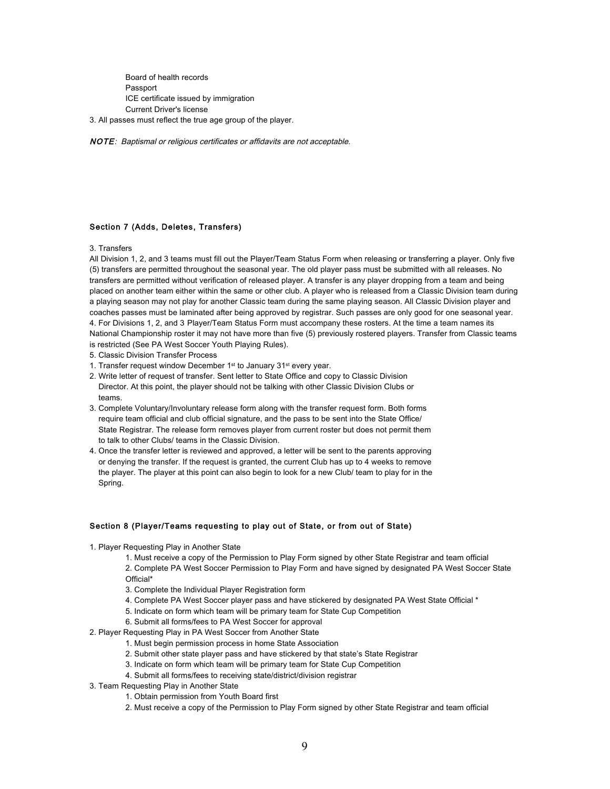Board of health records Passport ICE certificate issued by immigration Current Driver's license

3. All passes must reflect the true age group of the player.

NOTE: Baptismal or religious certificates or affidavits are not acceptable.

# Section 7 (Adds, Deletes, Transfers)

3. Transfers

All Division 1, 2, and 3 teams must fill out the Player/Team Status Form when releasing or transferring a player. Only five (5) transfers are permitted throughout the seasonal year. The old player pass must be submitted with all releases. No transfers are permitted without verification of released player. A transfer is any player dropping from a team and being placed on another team either within the same or other club. A player who is released from a Classic Division team during a playing season may not play for another Classic team during the same playing season. All Classic Division player and coaches passes must be laminated after being approved by registrar. Such passes are only good for one seasonal year. 4. For Divisions 1, 2, and 3 Player/Team Status Form must accompany these rosters. At the time a team names its National Championship roster it may not have more than five (5) previously rostered players. Transfer from Classic teams is restricted (See PA West Soccer Youth Playing Rules).

- 5. Classic Division Transfer Process
- 1. Transfer request window December 1st to January 31st every year.
- 2. Write letter of request of transfer. Sent letter to State Office and copy to Classic Division Director. At this point, the player should not be talking with other Classic Division Clubs or teams.
- 3. Complete Voluntary/Involuntary release form along with the transfer request form. Both forms require team official and club official signature, and the pass to be sent into the State Office/ State Registrar. The release form removes player from current roster but does not permit them to talk to other Clubs/ teams in the Classic Division.
- 4. Once the transfer letter is reviewed and approved, a letter will be sent to the parents approving or denying the transfer. If the request is granted, the current Club has up to 4 weeks to remove the player. The player at this point can also begin to look for a new Club/ team to play for in the Spring.

## Section 8 (Player/Teams requesting to play out of State, or from out of State)

- 1. Player Requesting Play in Another State
	- 1. Must receive a copy of the Permission to Play Form signed by other State Registrar and team official
	- 2. Complete PA West Soccer Permission to Play Form and have signed by designated PA West Soccer State Official\*
	- 3. Complete the Individual Player Registration form
	- 4. Complete PA West Soccer player pass and have stickered by designated PA West State Official \*
	- 5. Indicate on form which team will be primary team for State Cup Competition
	- 6. Submit all forms/fees to PA West Soccer for approval
- 2. Player Requesting Play in PA West Soccer from Another State
	- 1. Must begin permission process in home State Association
	- 2. Submit other state player pass and have stickered by that state's State Registrar
	- 3. Indicate on form which team will be primary team for State Cup Competition
	- 4. Submit all forms/fees to receiving state/district/division registrar
- 3. Team Requesting Play in Another State
	- 1. Obtain permission from Youth Board first
	- 2. Must receive a copy of the Permission to Play Form signed by other State Registrar and team official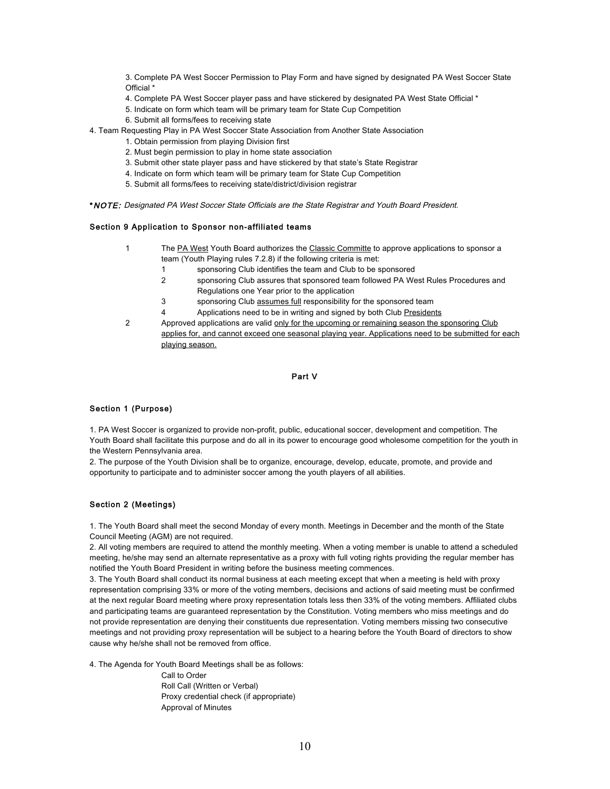3. Complete PA West Soccer Permission to Play Form and have signed by designated PA West Soccer State Official \*

- 4. Complete PA West Soccer player pass and have stickered by designated PA West State Official \*
- 5. Indicate on form which team will be primary team for State Cup Competition
- 6. Submit all forms/fees to receiving state
- 4. Team Requesting Play in PA West Soccer State Association from Another State Association
	- 1. Obtain permission from playing Division first
	- 2. Must begin permission to play in home state association
	- 3. Submit other state player pass and have stickered by that state's State Registrar
	- 4. Indicate on form which team will be primary team for State Cup Competition
	- 5. Submit all forms/fees to receiving state/district/division registrar

\*NOTE: Designated PA West Soccer State Officials are the State Registrar and Youth Board President.

# Section 9 Application to Sponsor non-affiliated teams

- 1 The PA West Youth Board authorizes the Classic Committe to approve applications to sponsor a team (Youth Playing rules 7.2.8) if the following criteria is met:
	- 1 sponsoring Club identifies the team and Club to be sponsored
	- 2 sponsoring Club assures that sponsored team followed PA West Rules Procedures and Regulations one Year prior to the application
	- 3 sponsoring Club assumes full responsibility for the sponsored team
	- 4 Applications need to be in writing and signed by both Club Presidents
- 2 Approved applications are valid only for the upcoming or remaining season the sponsoring Club applies for, and cannot exceed one seasonal playing year. Applications need to be submitted for each playing season.

# Part V

# Section 1 (Purpose)

1. PA West Soccer is organized to provide non-profit, public, educational soccer, development and competition. The Youth Board shall facilitate this purpose and do all in its power to encourage good wholesome competition for the youth in the Western Pennsylvania area.

2. The purpose of the Youth Division shall be to organize, encourage, develop, educate, promote, and provide and opportunity to participate and to administer soccer among the youth players of all abilities.

# Section 2 (Meetings)

1. The Youth Board shall meet the second Monday of every month. Meetings in December and the month of the State Council Meeting (AGM) are not required.

2. All voting members are required to attend the monthly meeting. When a voting member is unable to attend a scheduled meeting, he/she may send an alternate representative as a proxy with full voting rights providing the regular member has notified the Youth Board President in writing before the business meeting commences.

3. The Youth Board shall conduct its normal business at each meeting except that when a meeting is held with proxy representation comprising 33% or more of the voting members, decisions and actions of said meeting must be confirmed at the next regular Board meeting where proxy representation totals less then 33% of the voting members. Affiliated clubs and participating teams are guaranteed representation by the Constitution. Voting members who miss meetings and do not provide representation are denying their constituents due representation. Voting members missing two consecutive meetings and not providing proxy representation will be subject to a hearing before the Youth Board of directors to show cause why he/she shall not be removed from office.

4. The Agenda for Youth Board Meetings shall be as follows:

Call to Order Roll Call (Written or Verbal) Proxy credential check (if appropriate) Approval of Minutes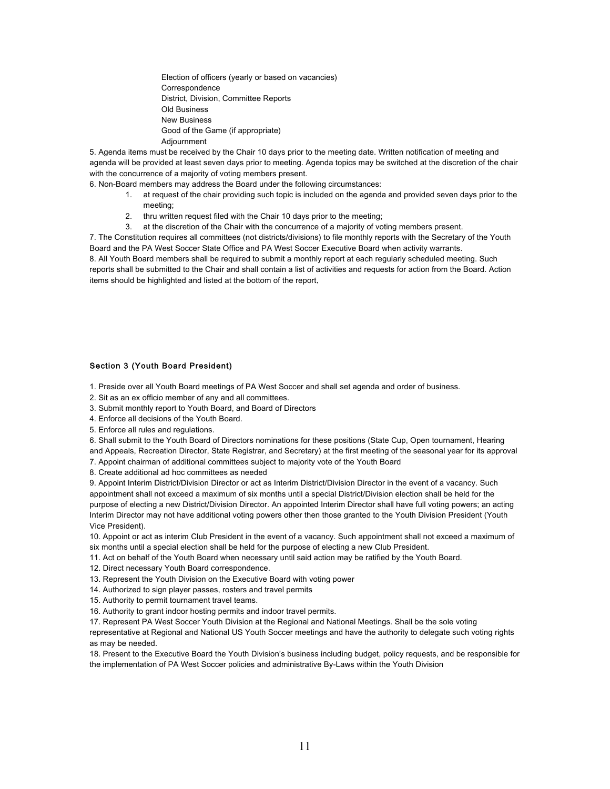Election of officers (yearly or based on vacancies) Correspondence District, Division, Committee Reports Old Business New Business Good of the Game (if appropriate) Adjournment

5. Agenda items must be received by the Chair 10 days prior to the meeting date. Written notification of meeting and agenda will be provided at least seven days prior to meeting. Agenda topics may be switched at the discretion of the chair with the concurrence of a majority of voting members present.

6. Non-Board members may address the Board under the following circumstances:

- 1. at request of the chair providing such topic is included on the agenda and provided seven days prior to the meeting;
- 2. thru written request filed with the Chair 10 days prior to the meeting;
- 3. at the discretion of the Chair with the concurrence of a majority of voting members present.

7. The Constitution requires all committees (not districts/divisions) to file monthly reports with the Secretary of the Youth Board and the PA West Soccer State Office and PA West Soccer Executive Board when activity warrants. 8. All Youth Board members shall be required to submit a monthly report at each regularly scheduled meeting. Such reports shall be submitted to the Chair and shall contain a list of activities and requests for action from the Board. Action items should be highlighted and listed at the bottom of the report.

# Section 3 (Youth Board President)

1. Preside over all Youth Board meetings of PA West Soccer and shall set agenda and order of business.

- 2. Sit as an ex officio member of any and all committees.
- 3. Submit monthly report to Youth Board, and Board of Directors
- 4. Enforce all decisions of the Youth Board.
- 5. Enforce all rules and regulations.

6. Shall submit to the Youth Board of Directors nominations for these positions (State Cup, Open tournament, Hearing and Appeals, Recreation Director, State Registrar, and Secretary) at the first meeting of the seasonal year for its approval

- 7. Appoint chairman of additional committees subject to majority vote of the Youth Board
- 8. Create additional ad hoc committees as needed

9. Appoint Interim District/Division Director or act as Interim District/Division Director in the event of a vacancy. Such appointment shall not exceed a maximum of six months until a special District/Division election shall be held for the purpose of electing a new District/Division Director. An appointed Interim Director shall have full voting powers; an acting Interim Director may not have additional voting powers other then those granted to the Youth Division President (Youth Vice President).

10. Appoint or act as interim Club President in the event of a vacancy. Such appointment shall not exceed a maximum of six months until a special election shall be held for the purpose of electing a new Club President.

- 11. Act on behalf of the Youth Board when necessary until said action may be ratified by the Youth Board.
- 12. Direct necessary Youth Board correspondence.
- 13. Represent the Youth Division on the Executive Board with voting power
- 14. Authorized to sign player passes, rosters and travel permits
- 15. Authority to permit tournament travel teams.
- 16. Authority to grant indoor hosting permits and indoor travel permits.

17. Represent PA West Soccer Youth Division at the Regional and National Meetings. Shall be the sole voting representative at Regional and National US Youth Soccer meetings and have the authority to delegate such voting rights as may be needed.

18. Present to the Executive Board the Youth Division's business including budget, policy requests, and be responsible for the implementation of PA West Soccer policies and administrative By-Laws within the Youth Division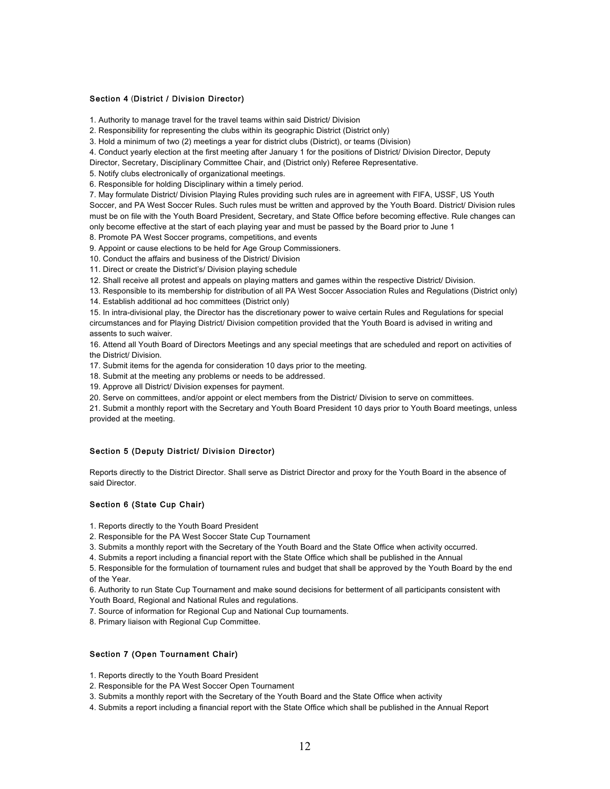## Section 4 (District / Division Director)

1. Authority to manage travel for the travel teams within said District/ Division

2. Responsibility for representing the clubs within its geographic District (District only)

3. Hold a minimum of two (2) meetings a year for district clubs (District), or teams (Division)

4. Conduct yearly election at the first meeting after January 1 for the positions of District/ Division Director, Deputy

Director, Secretary, Disciplinary Committee Chair, and (District only) Referee Representative.

5. Notify clubs electronically of organizational meetings.

6. Responsible for holding Disciplinary within a timely period.

7. May formulate District/ Division Playing Rules providing such rules are in agreement with FIFA, USSF, US Youth Soccer, and PA West Soccer Rules. Such rules must be written and approved by the Youth Board. District/ Division rules must be on file with the Youth Board President, Secretary, and State Office before becoming effective. Rule changes can only become effective at the start of each playing year and must be passed by the Board prior to June 1

8. Promote PA West Soccer programs, competitions, and events

9. Appoint or cause elections to be held for Age Group Commissioners.

10. Conduct the affairs and business of the District/ Division

11. Direct or create the District's/ Division playing schedule

12. Shall receive all protest and appeals on playing matters and games within the respective District/ Division.

13. Responsible to its membership for distribution of all PA West Soccer Association Rules and Regulations (District only)

14. Establish additional ad hoc committees (District only)

15. In intra-divisional play, the Director has the discretionary power to waive certain Rules and Regulations for special circumstances and for Playing District/ Division competition provided that the Youth Board is advised in writing and assents to such waiver.

16. Attend all Youth Board of Directors Meetings and any special meetings that are scheduled and report on activities of the District/ Division.

17. Submit items for the agenda for consideration 10 days prior to the meeting.

18. Submit at the meeting any problems or needs to be addressed.

19. Approve all District/ Division expenses for payment.

20. Serve on committees, and/or appoint or elect members from the District/ Division to serve on committees.

21. Submit a monthly report with the Secretary and Youth Board President 10 days prior to Youth Board meetings, unless provided at the meeting.

## Section 5 (Deputy District/ Division Director)

Reports directly to the District Director. Shall serve as District Director and proxy for the Youth Board in the absence of said Director.

# Section 6 (State Cup Chair)

1. Reports directly to the Youth Board President

2. Responsible for the PA West Soccer State Cup Tournament

3. Submits a monthly report with the Secretary of the Youth Board and the State Office when activity occurred.

4. Submits a report including a financial report with the State Office which shall be published in the Annual

5. Responsible for the formulation of tournament rules and budget that shall be approved by the Youth Board by the end of the Year.

6. Authority to run State Cup Tournament and make sound decisions for betterment of all participants consistent with Youth Board, Regional and National Rules and regulations.

7. Source of information for Regional Cup and National Cup tournaments.

8. Primary liaison with Regional Cup Committee.

#### Section 7 (Open Tournament Chair)

1. Reports directly to the Youth Board President

2. Responsible for the PA West Soccer Open Tournament

3. Submits a monthly report with the Secretary of the Youth Board and the State Office when activity

4. Submits a report including a financial report with the State Office which shall be published in the Annual Report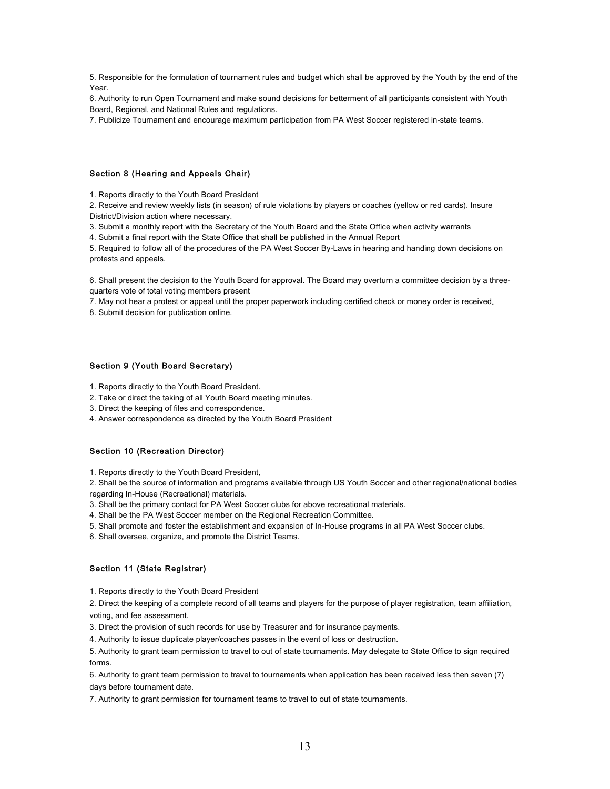5. Responsible for the formulation of tournament rules and budget which shall be approved by the Youth by the end of the Year.

6. Authority to run Open Tournament and make sound decisions for betterment of all participants consistent with Youth Board, Regional, and National Rules and regulations.

7. Publicize Tournament and encourage maximum participation from PA West Soccer registered in-state teams.

#### Section 8 (Hearing and Appeals Chair)

1. Reports directly to the Youth Board President

2. Receive and review weekly lists (in season) of rule violations by players or coaches (yellow or red cards). Insure District/Division action where necessary.

3. Submit a monthly report with the Secretary of the Youth Board and the State Office when activity warrants

4. Submit a final report with the State Office that shall be published in the Annual Report

5. Required to follow all of the procedures of the PA West Soccer By-Laws in hearing and handing down decisions on protests and appeals.

6. Shall present the decision to the Youth Board for approval. The Board may overturn a committee decision by a threequarters vote of total voting members present

7. May not hear a protest or appeal until the proper paperwork including certified check or money order is received.

8. Submit decision for publication online.

# Section 9 (Youth Board Secretary)

1. Reports directly to the Youth Board President.

2. Take or direct the taking of all Youth Board meeting minutes.

3. Direct the keeping of files and correspondence.

4. Answer correspondence as directed by the Youth Board President

# Section 10 (Recreation Director)

1. Reports directly to the Youth Board President.

2. Shall be the source of information and programs available through US Youth Soccer and other regional/national bodies regarding In-House (Recreational) materials.

3. Shall be the primary contact for PA West Soccer clubs for above recreational materials.

4. Shall be the PA West Soccer member on the Regional Recreation Committee.

5. Shall promote and foster the establishment and expansion of In-House programs in all PA West Soccer clubs.

6. Shall oversee, organize, and promote the District Teams.

# Section 11 (State Registrar)

1. Reports directly to the Youth Board President

2. Direct the keeping of a complete record of all teams and players for the purpose of player registration, team affiliation, voting, and fee assessment.

3. Direct the provision of such records for use by Treasurer and for insurance payments.

4. Authority to issue duplicate player/coaches passes in the event of loss or destruction.

5. Authority to grant team permission to travel to out of state tournaments. May delegate to State Office to sign required forms.

6. Authority to grant team permission to travel to tournaments when application has been received less then seven (7) days before tournament date.

7. Authority to grant permission for tournament teams to travel to out of state tournaments.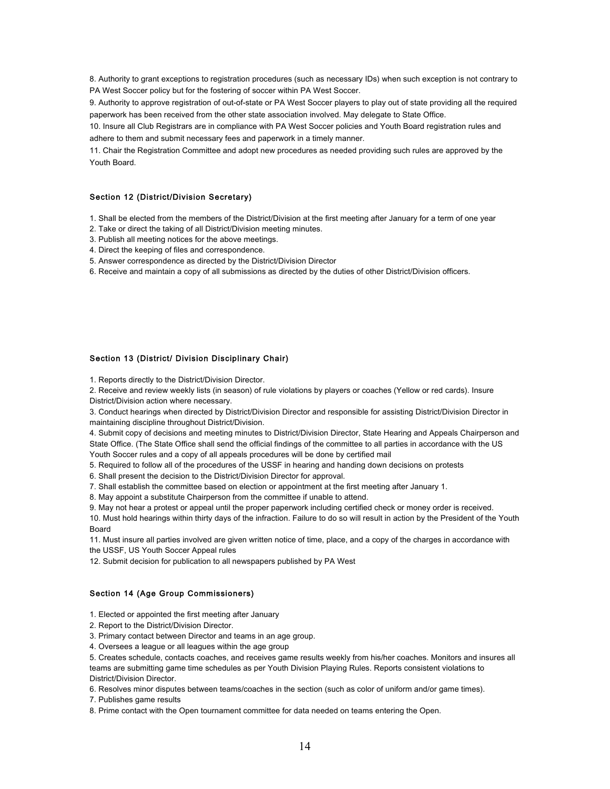8. Authority to grant exceptions to registration procedures (such as necessary IDs) when such exception is not contrary to PA West Soccer policy but for the fostering of soccer within PA West Soccer.

9. Authority to approve registration of out-of-state or PA West Soccer players to play out of state providing all the required paperwork has been received from the other state association involved. May delegate to State Office.

10. Insure all Club Registrars are in compliance with PA West Soccer policies and Youth Board registration rules and adhere to them and submit necessary fees and paperwork in a timely manner.

11. Chair the Registration Committee and adopt new procedures as needed providing such rules are approved by the Youth Board.

### Section 12 (District/Division Secretary)

1. Shall be elected from the members of the District/Division at the first meeting after January for a term of one year

- 2. Take or direct the taking of all District/Division meeting minutes.
- 3. Publish all meeting notices for the above meetings.
- 4. Direct the keeping of files and correspondence.
- 5. Answer correspondence as directed by the District/Division Director

6. Receive and maintain a copy of all submissions as directed by the duties of other District/Division officers.

## Section 13 (District/ Division Disciplinary Chair)

1. Reports directly to the District/Division Director.

2. Receive and review weekly lists (in season) of rule violations by players or coaches (Yellow or red cards). Insure District/Division action where necessary.

3. Conduct hearings when directed by District/Division Director and responsible for assisting District/Division Director in maintaining discipline throughout District/Division.

4. Submit copy of decisions and meeting minutes to District/Division Director, State Hearing and Appeals Chairperson and State Office. (The State Office shall send the official findings of the committee to all parties in accordance with the US Youth Soccer rules and a copy of all appeals procedures will be done by certified mail

5. Required to follow all of the procedures of the USSF in hearing and handing down decisions on protests

6. Shall present the decision to the District/Division Director for approval.

7. Shall establish the committee based on election or appointment at the first meeting after January 1.

8. May appoint a substitute Chairperson from the committee if unable to attend.

9. May not hear a protest or appeal until the proper paperwork including certified check or money order is received. 10. Must hold hearings within thirty days of the infraction. Failure to do so will result in action by the President of the Youth Board

11. Must insure all parties involved are given written notice of time, place, and a copy of the charges in accordance with the USSF, US Youth Soccer Appeal rules

12. Submit decision for publication to all newspapers published by PA West

#### Section 14 (Age Group Commissioners)

1. Elected or appointed the first meeting after January

2. Report to the District/Division Director.

3. Primary contact between Director and teams in an age group.

4. Oversees a league or all leagues within the age group

5. Creates schedule, contacts coaches, and receives game results weekly from his/her coaches. Monitors and insures all teams are submitting game time schedules as per Youth Division Playing Rules. Reports consistent violations to District/Division Director.

6. Resolves minor disputes between teams/coaches in the section (such as color of uniform and/or game times).

7. Publishes game results

8. Prime contact with the Open tournament committee for data needed on teams entering the Open.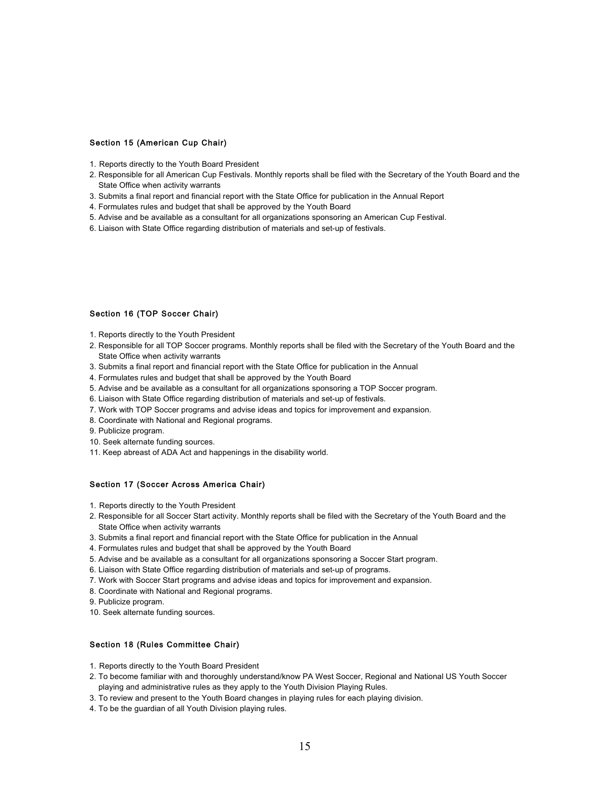# Section 15 (American Cup Chair)

- 1. Reports directly to the Youth Board President
- 2. Responsible for all American Cup Festivals. Monthly reports shall be filed with the Secretary of the Youth Board and the State Office when activity warrants
- 3. Submits a final report and financial report with the State Office for publication in the Annual Report
- 4. Formulates rules and budget that shall be approved by the Youth Board
- 5. Advise and be available as a consultant for all organizations sponsoring an American Cup Festival.
- 6. Liaison with State Office regarding distribution of materials and set-up of festivals.

# Section 16 (TOP Soccer Chair)

- 1. Reports directly to the Youth President
- 2. Responsible for all TOP Soccer programs. Monthly reports shall be filed with the Secretary of the Youth Board and the State Office when activity warrants
- 3. Submits a final report and financial report with the State Office for publication in the Annual
- 4. Formulates rules and budget that shall be approved by the Youth Board
- 5. Advise and be available as a consultant for all organizations sponsoring a TOP Soccer program.
- 6. Liaison with State Office regarding distribution of materials and set-up of festivals.
- 7. Work with TOP Soccer programs and advise ideas and topics for improvement and expansion.
- 8. Coordinate with National and Regional programs.
- 9. Publicize program.
- 10. Seek alternate funding sources.
- 11. Keep abreast of ADA Act and happenings in the disability world.

# Section 17 (Soccer Across America Chair)

- 1. Reports directly to the Youth President
- 2. Responsible for all Soccer Start activity. Monthly reports shall be filed with the Secretary of the Youth Board and the State Office when activity warrants
- 3. Submits a final report and financial report with the State Office for publication in the Annual
- 4. Formulates rules and budget that shall be approved by the Youth Board
- 5. Advise and be available as a consultant for all organizations sponsoring a Soccer Start program.
- 6. Liaison with State Office regarding distribution of materials and set-up of programs.
- 7. Work with Soccer Start programs and advise ideas and topics for improvement and expansion.
- 8. Coordinate with National and Regional programs.
- 9. Publicize program.
- 10. Seek alternate funding sources.

#### Section 18 (Rules Committee Chair)

- 1. Reports directly to the Youth Board President
- 2. To become familiar with and thoroughly understand/know PA West Soccer, Regional and National US Youth Soccer playing and administrative rules as they apply to the Youth Division Playing Rules.
- 3. To review and present to the Youth Board changes in playing rules for each playing division.
- 4. To be the guardian of all Youth Division playing rules.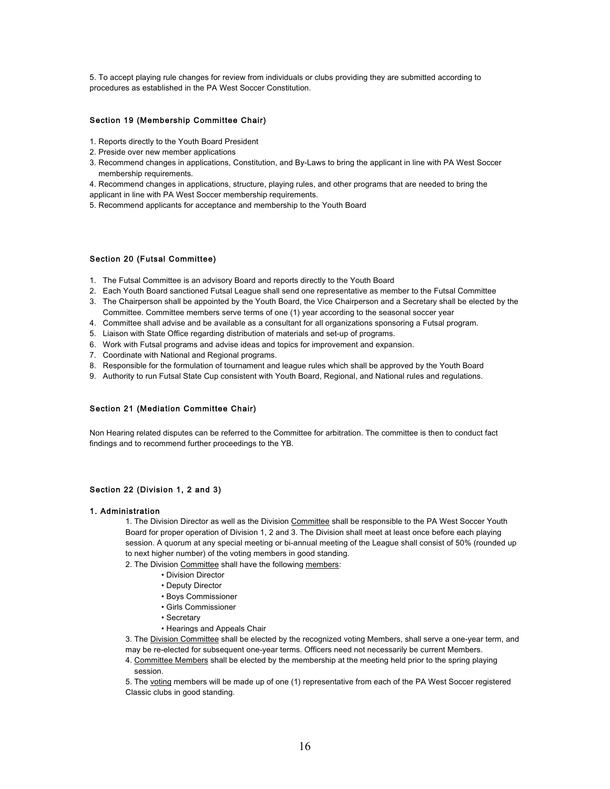5. To accept playing rule changes for review from individuals or clubs providing they are submitted according to procedures as established in the PA West Soccer Constitution.

# Section 19 (Membership Committee Chair)

- 1. Reports directly to the Youth Board President
- 2. Preside over new member applications
- 3. Recommend changes in applications, Constitution, and By-Laws to bring the applicant in line with PA West Soccer membership requirements.
- 4. Recommend changes in applications, structure, playing rules, and other programs that are needed to bring the
- applicant in line with PA West Soccer membership requirements.
- 5. Recommend applicants for acceptance and membership to the Youth Board

# Section 20 (Futsal Committee)

- 1. The Futsal Committee is an advisory Board and reports directly to the Youth Board
- 2. Each Youth Board sanctioned Futsal League shall send one representative as member to the Futsal Committee
- 3. The Chairperson shall be appointed by the Youth Board, the Vice Chairperson and a Secretary shall be elected by the Committee. Committee members serve terms of one (1) year according to the seasonal soccer year
- 4. Committee shall advise and be available as a consultant for all organizations sponsoring a Futsal program.
- 5. Liaison with State Office regarding distribution of materials and set-up of programs.
- 6. Work with Futsal programs and advise ideas and topics for improvement and expansion.
- 7. Coordinate with National and Regional programs.
- 8. Responsible for the formulation of tournament and league rules which shall be approved by the Youth Board
- 9. Authority to run Futsal State Cup consistent with Youth Board, Regional, and National rules and regulations.

# Section 21 (Mediation Committee Chair)

Non Hearing related disputes can be referred to the Committee for arbitration. The committee is then to conduct fact findings and to recommend further proceedings to the YB.

# Section 22 (Division 1, 2 and 3)

# 1. Administration

1. The Division Director as well as the Division Committee shall be responsible to the PA West Soccer Youth Board for proper operation of Division 1, 2 and 3. The Division shall meet at least once before each playing session. A quorum at any special meeting or bi-annual meeting of the League shall consist of 50% (rounded up to next higher number) of the voting members in good standing.

2. The Division Committee shall have the following members:

- Division Director
- Deputy Director
- Boys Commissioner
- Girls Commissioner
- Secretary
- Hearings and Appeals Chair

3. The Division Committee shall be elected by the recognized voting Members, shall serve a one-year term, and may be re-elected for subsequent one-year terms. Officers need not necessarily be current Members.

4. Committee Members shall be elected by the membership at the meeting held prior to the spring playing session.

5. The voting members will be made up of one (1) representative from each of the PA West Soccer registered Classic clubs in good standing.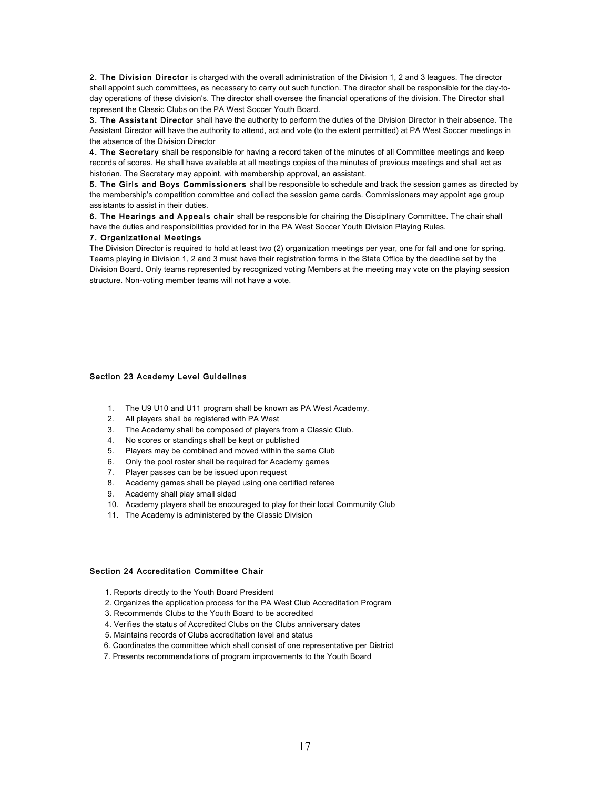2. The Division Director is charged with the overall administration of the Division 1, 2 and 3 leagues. The director shall appoint such committees, as necessary to carry out such function. The director shall be responsible for the day-today operations of these division's. The director shall oversee the financial operations of the division. The Director shall represent the Classic Clubs on the PA West Soccer Youth Board.

3. The Assistant Director shall have the authority to perform the duties of the Division Director in their absence. The Assistant Director will have the authority to attend, act and vote (to the extent permitted) at PA West Soccer meetings in the absence of the Division Director

4. The Secretary shall be responsible for having a record taken of the minutes of all Committee meetings and keep records of scores. He shall have available at all meetings copies of the minutes of previous meetings and shall act as historian. The Secretary may appoint, with membership approval, an assistant.

5. The Girls and Boys Commissioners shall be responsible to schedule and track the session games as directed by the membership's competition committee and collect the session game cards. Commissioners may appoint age group assistants to assist in their duties.

6. The Hearings and Appeals chair shall be responsible for chairing the Disciplinary Committee. The chair shall have the duties and responsibilities provided for in the PA West Soccer Youth Division Playing Rules.

# 7. Organizational Meetings

The Division Director is required to hold at least two (2) organization meetings per year, one for fall and one for spring. Teams playing in Division 1, 2 and 3 must have their registration forms in the State Office by the deadline set by the Division Board. Only teams represented by recognized voting Members at the meeting may vote on the playing session structure. Non-voting member teams will not have a vote.

# Section 23 Academy Level Guidelines

- 1. The U9 U10 and U11 program shall be known as PA West Academy.
- 2. All players shall be registered with PA West
- 3. The Academy shall be composed of players from a Classic Club.
- 4. No scores or standings shall be kept or published
- 5. Players may be combined and moved within the same Club
- 6. Only the pool roster shall be required for Academy games
- 7. Player passes can be be issued upon request
- 8. Academy games shall be played using one certified referee
- 9. Academy shall play small sided
- 10. Academy players shall be encouraged to play for their local Community Club
- 11. The Academy is administered by the Classic Division

# Section 24 Accreditation Committee Chair

- 1. Reports directly to the Youth Board President
- 2. Organizes the application process for the PA West Club Accreditation Program
- 3. Recommends Clubs to the Youth Board to be accredited
- 4. Verifies the status of Accredited Clubs on the Clubs anniversary dates
- 5. Maintains records of Clubs accreditation level and status
- 6. Coordinates the committee which shall consist of one representative per District
- 7. Presents recommendations of program improvements to the Youth Board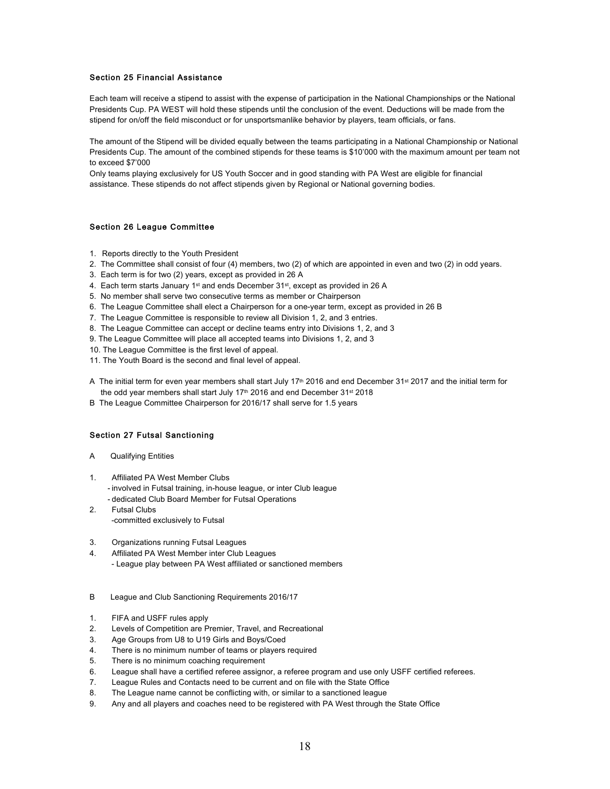# Section 25 Financial Assistance

Each team will receive a stipend to assist with the expense of participation in the National Championships or the National Presidents Cup. PA WEST will hold these stipends until the conclusion of the event. Deductions will be made from the stipend for on/off the field misconduct or for unsportsmanlike behavior by players, team officials, or fans.

The amount of the Stipend will be divided equally between the teams participating in a National Championship or National Presidents Cup. The amount of the combined stipends for these teams is \$10'000 with the maximum amount per team not to exceed \$7'000

Only teams playing exclusively for US Youth Soccer and in good standing with PA West are eligible for financial assistance. These stipends do not affect stipends given by Regional or National governing bodies.

# Section 26 League Committee

- 1. Reports directly to the Youth President
- 2. The Committee shall consist of four (4) members, two (2) of which are appointed in even and two (2) in odd years.
- 3. Each term is for two (2) years, except as provided in 26 A
- 4. Each term starts January 1st and ends December 31st, except as provided in 26 A
- 5. No member shall serve two consecutive terms as member or Chairperson
- 6. The League Committee shall elect a Chairperson for a one-year term, except as provided in 26 B
- 7. The League Committee is responsible to review all Division 1, 2, and 3 entries.
- 8. The League Committee can accept or decline teams entry into Divisions 1, 2, and 3
- 9. The League Committee will place all accepted teams into Divisions 1, 2, and 3
- 10. The League Committee is the first level of appeal.
- 11. The Youth Board is the second and final level of appeal.
- A The initial term for even year members shall start July 17<sup>th</sup> 2016 and end December 31<sup>st</sup> 2017 and the initial term for the odd year members shall start July 17<sup>th</sup> 2016 and end December  $31^{st}$  2018
- B The League Committee Chairperson for 2016/17 shall serve for 1.5 years

# Section 27 Futsal Sanctioning

- A Qualifying Entities
- 1. Affiliated PA West Member Clubs
	- involved in Futsal training, in-house league, or inter Club league
	- dedicated Club Board Member for Futsal Operations
- 2. Futsal Clubs -committed exclusively to Futsal
- 3. Organizations running Futsal Leagues
- 4. Affiliated PA West Member inter Club Leagues - League play between PA West affiliated or sanctioned members
- B League and Club Sanctioning Requirements 2016/17
- 1. FIFA and USFF rules apply
- 2. Levels of Competition are Premier, Travel, and Recreational
- 3. Age Groups from U8 to U19 Girls and Boys/Coed
- 4. There is no minimum number of teams or players required
- 5. There is no minimum coaching requirement
- 6. League shall have a certified referee assignor, a referee program and use only USFF certified referees.
- 7. League Rules and Contacts need to be current and on file with the State Office
- 8. The League name cannot be conflicting with, or similar to a sanctioned league
- 9. Any and all players and coaches need to be registered with PA West through the State Office